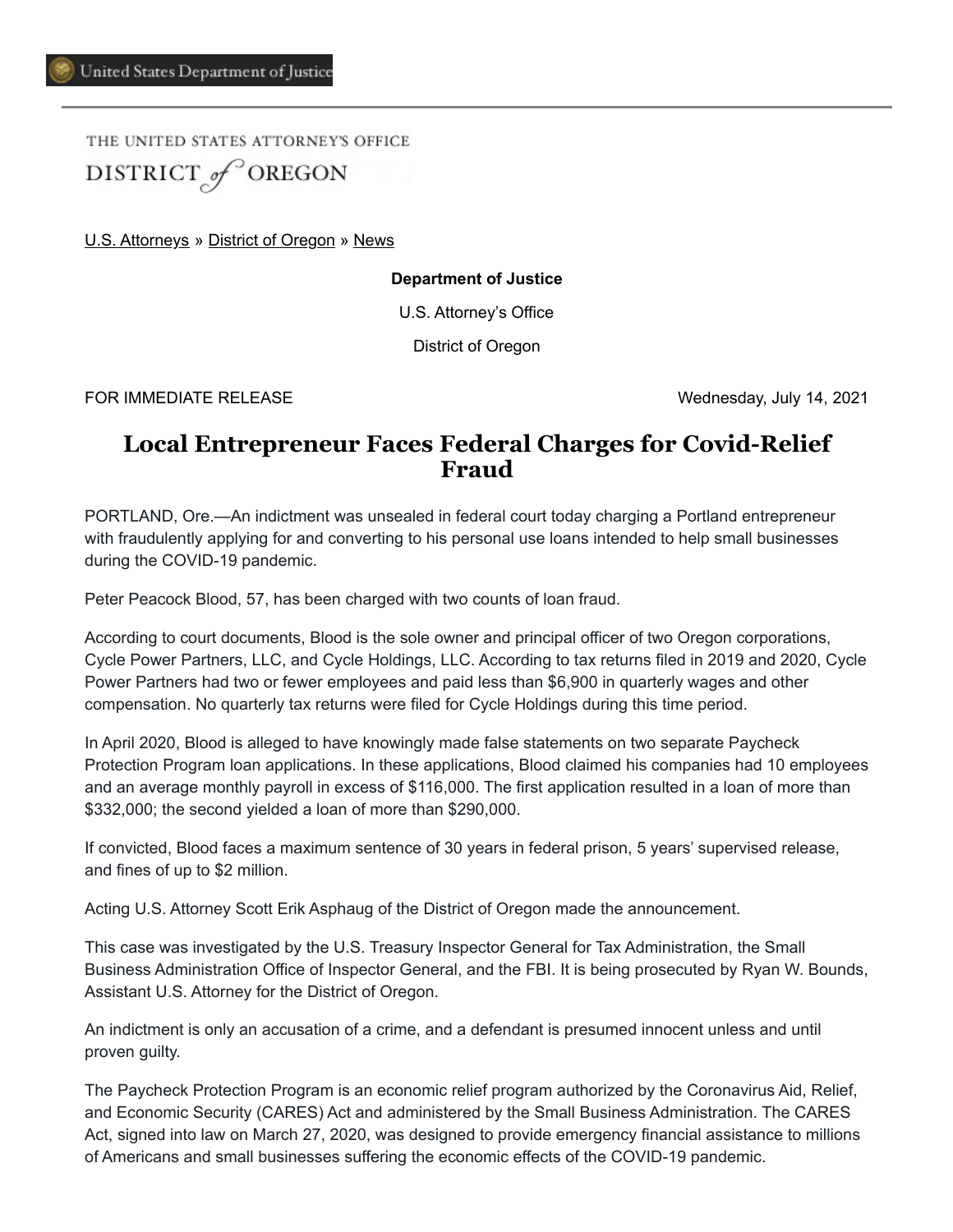THE UNITED STATES ATTORNEY'S OFFICE DISTRICT of OREGON

[U.S. Attorneys](https://www.justice.gov/usao) » [District of Oregon](https://www.justice.gov/usao-or) » [News](https://www.justice.gov/usao-or/pr)

**Department of Justice**

U.S. Attorney's Office

District of Oregon

FOR IMMEDIATE RELEASE Wednesday, July 14, 2021

## **Local Entrepreneur Faces Federal Charges for Covid-Relief Fraud**

PORTLAND, Ore.—An indictment was unsealed in federal court today charging a Portland entrepreneur with fraudulently applying for and converting to his personal use loans intended to help small businesses during the COVID-19 pandemic.

Peter Peacock Blood, 57, has been charged with two counts of loan fraud.

According to court documents, Blood is the sole owner and principal officer of two Oregon corporations, Cycle Power Partners, LLC, and Cycle Holdings, LLC. According to tax returns filed in 2019 and 2020, Cycle Power Partners had two or fewer employees and paid less than \$6,900 in quarterly wages and other compensation. No quarterly tax returns were filed for Cycle Holdings during this time period.

In April 2020, Blood is alleged to have knowingly made false statements on two separate Paycheck Protection Program loan applications. In these applications, Blood claimed his companies had 10 employees and an average monthly payroll in excess of \$116,000. The first application resulted in a loan of more than \$332,000; the second yielded a loan of more than \$290,000.

If convicted, Blood faces a maximum sentence of 30 years in federal prison, 5 years' supervised release, and fines of up to \$2 million.

Acting U.S. Attorney Scott Erik Asphaug of the District of Oregon made the announcement.

This case was investigated by the U.S. Treasury Inspector General for Tax Administration, the Small Business Administration Office of Inspector General, and the FBI. It is being prosecuted by Ryan W. Bounds, Assistant U.S. Attorney for the District of Oregon.

An indictment is only an accusation of a crime, and a defendant is presumed innocent unless and until proven guilty.

The Paycheck Protection Program is an economic relief program authorized by the Coronavirus Aid, Relief, and Economic Security (CARES) Act and administered by the Small Business Administration. The CARES Act, signed into law on March 27, 2020, was designed to provide emergency financial assistance to millions of Americans and small businesses suffering the economic effects of the COVID-19 pandemic.